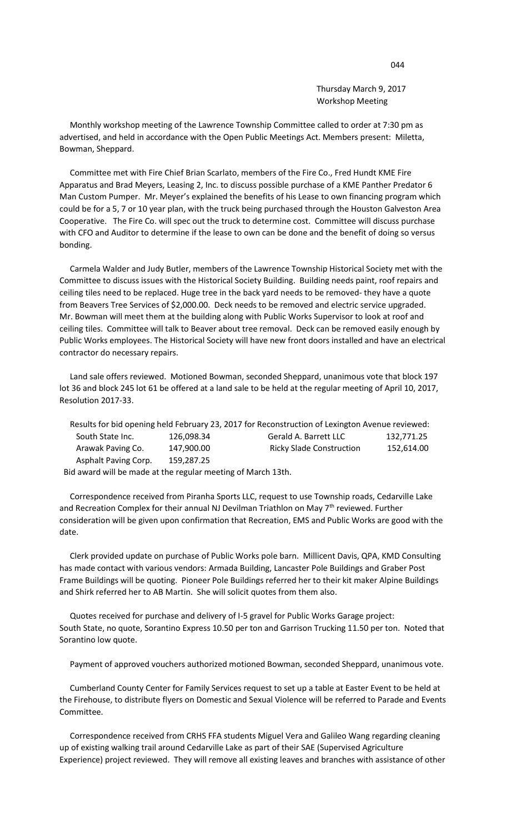Thursday March 9, 2017 Workshop Meeting

 Monthly workshop meeting of the Lawrence Township Committee called to order at 7:30 pm as advertised, and held in accordance with the Open Public Meetings Act. Members present: Miletta, Bowman, Sheppard.

 Committee met with Fire Chief Brian Scarlato, members of the Fire Co., Fred Hundt KME Fire Apparatus and Brad Meyers, Leasing 2, Inc. to discuss possible purchase of a KME Panther Predator 6 Man Custom Pumper. Mr. Meyer's explained the benefits of his Lease to own financing program which could be for a 5, 7 or 10 year plan, with the truck being purchased through the Houston Galveston Area Cooperative. The Fire Co. will spec out the truck to determine cost. Committee will discuss purchase with CFO and Auditor to determine if the lease to own can be done and the benefit of doing so versus bonding.

 Carmela Walder and Judy Butler, members of the Lawrence Township Historical Society met with the Committee to discuss issues with the Historical Society Building. Building needs paint, roof repairs and ceiling tiles need to be replaced. Huge tree in the back yard needs to be removed- they have a quote from Beavers Tree Services of \$2,000.00. Deck needs to be removed and electric service upgraded. Mr. Bowman will meet them at the building along with Public Works Supervisor to look at roof and ceiling tiles. Committee will talk to Beaver about tree removal. Deck can be removed easily enough by Public Works employees. The Historical Society will have new front doors installed and have an electrical contractor do necessary repairs.

 Land sale offers reviewed. Motioned Bowman, seconded Sheppard, unanimous vote that block 197 lot 36 and block 245 lot 61 be offered at a land sale to be held at the regular meeting of April 10, 2017, Resolution 2017-33.

|                                                              |            | Results for bid opening held February 23, 2017 for Reconstruction of Lexington Avenue reviewed: |            |
|--------------------------------------------------------------|------------|-------------------------------------------------------------------------------------------------|------------|
| South State Inc.                                             | 126.098.34 | <b>Gerald A. Barrett LLC</b>                                                                    | 132.771.25 |
| Arawak Paving Co.                                            | 147,900.00 | <b>Ricky Slade Construction</b>                                                                 | 152,614.00 |
| Asphalt Paving Corp.                                         | 159,287.25 |                                                                                                 |            |
| Bid award will be made at the regular meeting of March 13th. |            |                                                                                                 |            |

 Correspondence received from Piranha Sports LLC, request to use Township roads, Cedarville Lake and Recreation Complex for their annual NJ Devilman Triathlon on May  $7<sup>th</sup>$  reviewed. Further consideration will be given upon confirmation that Recreation, EMS and Public Works are good with the date.

 Clerk provided update on purchase of Public Works pole barn. Millicent Davis, QPA, KMD Consulting has made contact with various vendors: Armada Building, Lancaster Pole Buildings and Graber Post Frame Buildings will be quoting. Pioneer Pole Buildings referred her to their kit maker Alpine Buildings and Shirk referred her to AB Martin. She will solicit quotes from them also.

 Quotes received for purchase and delivery of I-5 gravel for Public Works Garage project: South State, no quote, Sorantino Express 10.50 per ton and Garrison Trucking 11.50 per ton. Noted that Sorantino low quote.

Payment of approved vouchers authorized motioned Bowman, seconded Sheppard, unanimous vote.

 Cumberland County Center for Family Services request to set up a table at Easter Event to be held at the Firehouse, to distribute flyers on Domestic and Sexual Violence will be referred to Parade and Events Committee.

 Correspondence received from CRHS FFA students Miguel Vera and Galileo Wang regarding cleaning up of existing walking trail around Cedarville Lake as part of their SAE (Supervised Agriculture Experience) project reviewed. They will remove all existing leaves and branches with assistance of other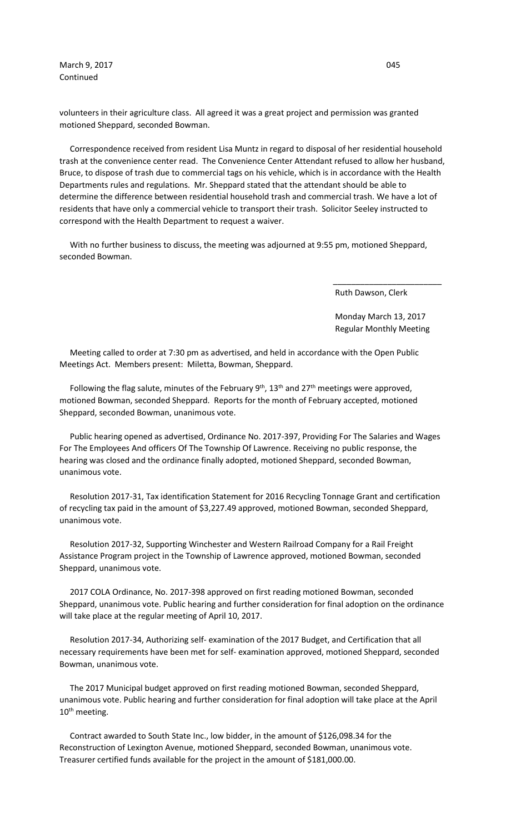March 9, 2017 **045** Continued

volunteers in their agriculture class. All agreed it was a great project and permission was granted motioned Sheppard, seconded Bowman.

 Correspondence received from resident Lisa Muntz in regard to disposal of her residential household trash at the convenience center read. The Convenience Center Attendant refused to allow her husband, Bruce, to dispose of trash due to commercial tags on his vehicle, which is in accordance with the Health Departments rules and regulations. Mr. Sheppard stated that the attendant should be able to determine the difference between residential household trash and commercial trash. We have a lot of residents that have only a commercial vehicle to transport their trash. Solicitor Seeley instructed to correspond with the Health Department to request a waiver.

 With no further business to discuss, the meeting was adjourned at 9:55 pm, motioned Sheppard, seconded Bowman.

 $\overline{\phantom{a}}$  , and the contract of the contract of the contract of the contract of the contract of the contract of the contract of the contract of the contract of the contract of the contract of the contract of the contrac

Ruth Dawson, Clerk

 Monday March 13, 2017 Regular Monthly Meeting

 Meeting called to order at 7:30 pm as advertised, and held in accordance with the Open Public Meetings Act. Members present: Miletta, Bowman, Sheppard.

Following the flag salute, minutes of the February  $9<sup>th</sup>$ , 13<sup>th</sup> and 27<sup>th</sup> meetings were approved, motioned Bowman, seconded Sheppard. Reports for the month of February accepted, motioned Sheppard, seconded Bowman, unanimous vote.

 Public hearing opened as advertised, Ordinance No. 2017-397, Providing For The Salaries and Wages For The Employees And officers Of The Township Of Lawrence. Receiving no public response, the hearing was closed and the ordinance finally adopted, motioned Sheppard, seconded Bowman, unanimous vote.

 Resolution 2017-31, Tax identification Statement for 2016 Recycling Tonnage Grant and certification of recycling tax paid in the amount of \$3,227.49 approved, motioned Bowman, seconded Sheppard, unanimous vote.

 Resolution 2017-32, Supporting Winchester and Western Railroad Company for a Rail Freight Assistance Program project in the Township of Lawrence approved, motioned Bowman, seconded Sheppard, unanimous vote.

 2017 COLA Ordinance, No. 2017-398 approved on first reading motioned Bowman, seconded Sheppard, unanimous vote. Public hearing and further consideration for final adoption on the ordinance will take place at the regular meeting of April 10, 2017.

 Resolution 2017-34, Authorizing self- examination of the 2017 Budget, and Certification that all necessary requirements have been met for self- examination approved, motioned Sheppard, seconded Bowman, unanimous vote.

 The 2017 Municipal budget approved on first reading motioned Bowman, seconded Sheppard, unanimous vote. Public hearing and further consideration for final adoption will take place at the April 10<sup>th</sup> meeting.

 Contract awarded to South State Inc., low bidder, in the amount of \$126,098.34 for the Reconstruction of Lexington Avenue, motioned Sheppard, seconded Bowman, unanimous vote. Treasurer certified funds available for the project in the amount of \$181,000.00.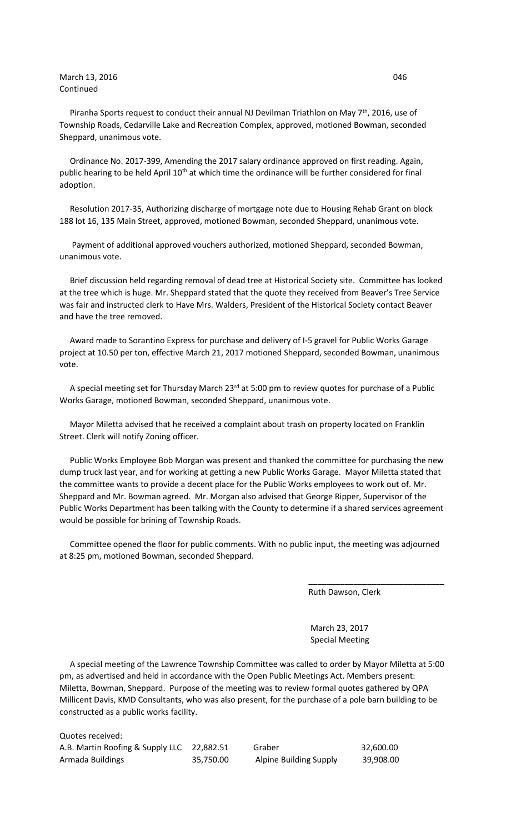## March 13, 2016 **046** 046 Continued

Piranha Sports request to conduct their annual NJ Devilman Triathlon on May  $7<sup>th</sup>$ , 2016, use of Township Roads, Cedarville Lake and Recreation Complex, approved, motioned Bowman, seconded Sheppard, unanimous vote.

 Ordinance No. 2017-399, Amending the 2017 salary ordinance approved on first reading. Again, public hearing to be held April 10<sup>th</sup> at which time the ordinance will be further considered for final adoption.

 Resolution 2017-35, Authorizing discharge of mortgage note due to Housing Rehab Grant on block 188 lot 16, 135 Main Street, approved, motioned Bowman, seconded Sheppard, unanimous vote.

 Payment of additional approved vouchers authorized, motioned Sheppard, seconded Bowman, unanimous vote.

 Brief discussion held regarding removal of dead tree at Historical Society site. Committee has looked at the tree which is huge. Mr. Sheppard stated that the quote they received from Beaver's Tree Service was fair and instructed clerk to Have Mrs. Walders, President of the Historical Society contact Beaver and have the tree removed.

 Award made to Sorantino Express for purchase and delivery of I-5 gravel for Public Works Garage project at 10.50 per ton, effective March 21, 2017 motioned Sheppard, seconded Bowman, unanimous vote.

A special meeting set for Thursday March  $23<sup>rd</sup>$  at 5:00 pm to review quotes for purchase of a Public Works Garage, motioned Bowman, seconded Sheppard, unanimous vote.

 Mayor Miletta advised that he received a complaint about trash on property located on Franklin Street. Clerk will notify Zoning officer.

 Public Works Employee Bob Morgan was present and thanked the committee for purchasing the new dump truck last year, and for working at getting a new Public Works Garage. Mayor Miletta stated that the committee wants to provide a decent place for the Public Works employees to work out of. Mr. Sheppard and Mr. Bowman agreed. Mr. Morgan also advised that George Ripper, Supervisor of the Public Works Department has been talking with the County to determine if a shared services agreement would be possible for brining of Township Roads.

 Committee opened the floor for public comments. With no public input, the meeting was adjourned at 8:25 pm, motioned Bowman, seconded Sheppard.

 $\overline{\phantom{a}}$  , and the contract of the contract of the contract of the contract of the contract of the contract of the contract of the contract of the contract of the contract of the contract of the contract of the contrac

Ruth Dawson, Clerk

 March 23, 2017 Special Meeting

 A special meeting of the Lawrence Township Committee was called to order by Mayor Miletta at 5:00 pm, as advertised and held in accordance with the Open Public Meetings Act. Members present: Miletta, Bowman, Sheppard. Purpose of the meeting was to review formal quotes gathered by QPA Millicent Davis, KMD Consultants, who was also present, for the purchase of a pole barn building to be constructed as a public works facility.

Quotes received: A.B. Martin Roofing & Supply LLC 22,882.51 Graber 32,600.00 Armada Buildings 35,750.00 Alpine Building Supply 39,908.00